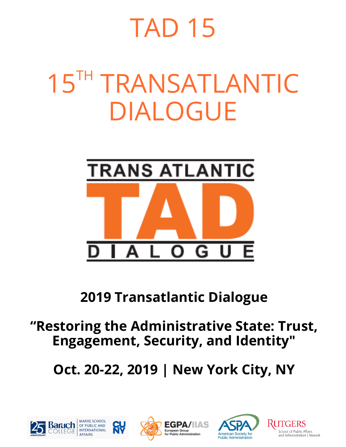# TAD 15

# **15TH TRANSATLANTIC** DIALOGUE



# **2019 Transatlantic Dialogue**

# **"Restoring the Administrative State: Trust, Engagement, Security, and Identity"**

**Oct. 20-22, 2019 | New York City, NY**







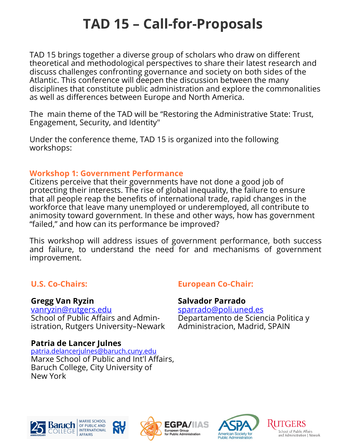# **TAD 15 – Call-for-Proposals**

TAD 15 brings together a diverse group of scholars who draw on different theoretical and methodological perspectives to share their latest research and discuss challenges confronting governance and society on both sides of the Atlantic. This conference will deepen the discussion between the many disciplines that constitute public administration and explore the commonalities as well as differences between Europe and North America.

The main theme of the TAD will be "Restoring the Administrative State: Trust, Engagement, Security, and Identity"

Under the conference theme, TAD 15 is organized into the following workshops:

#### **Workshop 1: Government Performance**

Citizens perceive that their governments have not done a good job of protecting their interests. The rise of global inequality, the failure to ensure that all people reap the benefits of international trade, rapid changes in the workforce that leave many unemployed or underemployed, all contribute to animosity toward government. In these and other ways, how has government "failed," and how can its performance be improved?

This workshop will address issues of government performance, both success and failure, to understand the need for and mechanisms of government improvement.

# **U.S. Co-Chairs:**

#### **Gregg Van Ryzin**

[vanryzin@rutgers.edu](mailto:vanryzin@rutgers.edu) School of Public Affairs and Administration, Rutgers University–Newark

## **Patria de Lancer Julnes**

[patria.delancerjulnes@baruch.cuny.edu](mailto:patria.delancerjulnes@baruch.cuny.edu) Marxe School of Public and Int'l Affairs, Baruch College, City University of New York

# **European Co-Chair:**

# **Salvador Parrado**

[sparrado@poli.uned.es](mailto:sparrado@poli.uned.es) Departamento de Sciencia Politica y Administracion, Madrid, SPAIN







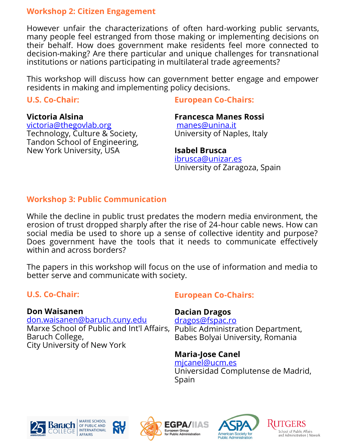#### **Workshop 2: Citizen Engagement**

However unfair the characterizations of often hard-working public servants, many people feel estranged from those making or implementing decisions on their behalf. How does government make residents feel more connected to decision-making? Are there particular and unique challenges for transnational institutions or nations participating in multilateral trade agreements?

This workshop will discuss how can government better engage and empower residents in making and implementing policy decisions.

#### **U.S. Co-Chair:**

#### **Victoria Alsina**

[victoria@thegovlab.org](mailto:victoria@thegovlab.org) Technology, Culture & Society, Tandon School of Engineering, New York University, USA

#### **European Co-Chairs:**

#### **Francesca Manes Rossi**

[manes@unina.it](mailto:manes@unina.it) University of Naples, Italy

#### **Isabel Brusca**

[ibrusca@unizar.es](mailto:ibrusca@unizar.es) University of Zaragoza, Spain

# **Workshop 3: Public Communication**

While the decline in public trust predates the modern media environment, the erosion of trust dropped sharply after the rise of 24-hour cable news. How can social media be used to shore up a sense of collective identity and purpose? Does government have the tools that it needs to communicate effectively within and across borders?

The papers in this workshop will focus on the use of information and media to better serve and communicate with society.

EGPA,

for Public Administration

# **U.S. Co-Chair:**

#### **Don Waisanen**

[don.waisanen@baruch.cuny.edu](mailto:don.waisanen@baruch.cuny.edu) Marxe School of Public and Int'l Affairs, Public Administration Department, Baruch College, City University of New York

## **European Co-Chairs:**

#### **Dacian Dragos**

[dragos@fspac.ro](mailto:dragos@fspac.ro) Babes Bolyai University, Romania

#### **Maria-Jose Canel**

[mjcanel@ucm.es](mailto:mjcanel@ucm.es) Universidad Complutense de Madrid, Spain







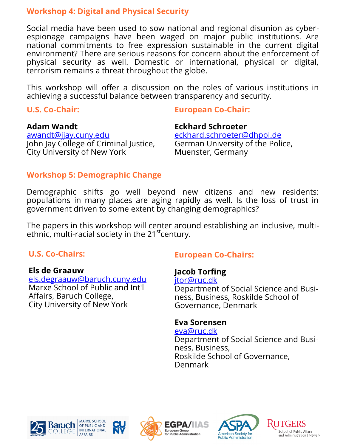#### **Workshop 4: Digital and Physical Security**

Social media have been used to sow national and regional disunion as cyberespionage campaigns have been waged on major public institutions. Are national commitments to free expression sustainable in the current digital environment? There are serious reasons for concern about the enforcement of physical security as well. Domestic or international, physical or digital, terrorism remains a threat throughout the globe.

This workshop will offer a discussion on the roles of various institutions in achieving a successful balance between transparency and security.

#### **U.S. Co-Chair:**

#### **European Co-Chair:**

#### **Adam Wandt**

awandt@jjay.cuny.edu John Jay College of Criminal Justice, City University of New York

#### **Eckhard Schroeter** [eckhard.schroeter@dhpol.de](mailto:eckhard.schroeter@dhpol.de) German University of the Police, Muenster, Germany

# **Workshop 5: Demographic Change**

Demographic shifts go well beyond new citizens and new residents: populations in many places are aging rapidly as well. Is the loss of trust in government driven to some extent by changing demographics?

The papers in this workshop will center around establishing an inclusive, multiethnic, multi-racial society in the  $21<sup>st</sup>$  century.

## **U.S. Co-Chairs:**

#### **Els de Graauw**

[els.degraauw@baruch.cuny.edu](mailto:els.degraauw@baruch.cuny.edu) Marxe School of Public and Int'l Affairs, Baruch College, City University of New York

## **European Co-Chairs:**

# **Jacob Torfing**

[jtor@ruc.dk](mailto:jtor@ruc.dk)

Department of Social Science and Business, Business, Roskilde School of Governance, Denmark

## **Eva Sorensen**

[eva@ruc.dk](mailto:eva@ruc.dk) Department of Social Science and Business, Business, Roskilde School of Governance, Denmark





EGPA/

for Public Administration